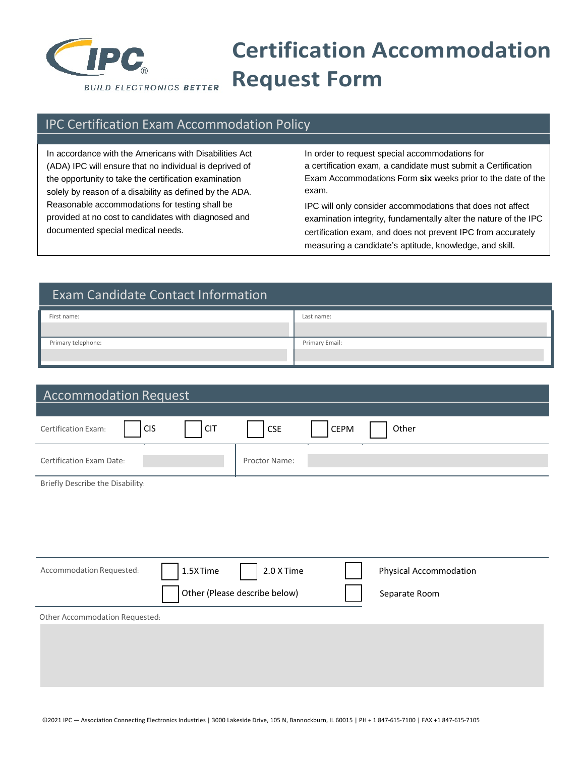

## **Certification Accommodation Request Form**

## IPC Certification Exam Accommodation Policy

In accordance with the Americans with Disabilities Act In order to request special accommodations for solely by reason of a disability as defined by the ADA. exam. Reasonable accommodations for testing shall be IPC will only consider accommodations that does not affect

(ADA) IPC will ensure that no individual is deprived of a certification exam, a candidate must submit a Certification the opportunity to take the certification examination Exam Accommodations Form **six** weeks prior to the date of the

provided at no cost to candidates with diagnosed and examination integrity, fundamentally alter the nature of the IPC documented special medical needs. The summary certification exam, and does not prevent IPC from accurately measuring a candidate's aptitude, knowledge, and skill.

| <b>Exam Candidate Contact Information</b> |                |  |  |
|-------------------------------------------|----------------|--|--|
| First name:                               | Last name:     |  |  |
| Primary telephone:                        | Primary Email: |  |  |

| <b>Accommodation Request</b>                    |                               |      |                        |  |
|-------------------------------------------------|-------------------------------|------|------------------------|--|
|                                                 |                               |      |                        |  |
| <b>CIS</b><br><b>CIT</b><br>Certification Exam: | $\mathsf{CSE}\xspace$         | CEPM | Other                  |  |
| <b>Certification Exam Date:</b>                 | Proctor Name:                 |      |                        |  |
| Briefly Describe the Disability:                |                               |      |                        |  |
|                                                 |                               |      |                        |  |
|                                                 |                               |      |                        |  |
|                                                 |                               |      |                        |  |
| 1.5XTime<br>Accommodation Requested:            | 2.0 X Time                    |      | Physical Accommodation |  |
|                                                 | Other (Please describe below) |      | Separate Room          |  |
| Other Accommodation Requested:                  |                               |      |                        |  |
|                                                 |                               |      |                        |  |
|                                                 |                               |      |                        |  |
|                                                 |                               |      |                        |  |
|                                                 |                               |      |                        |  |